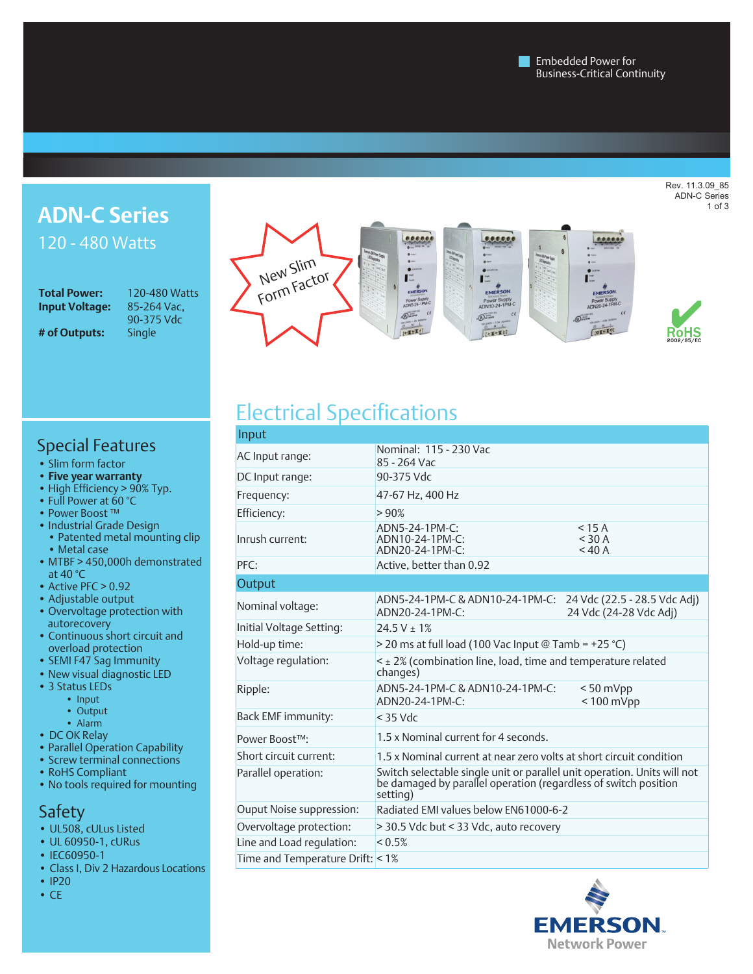Rev. 11.3.09\_85 ADN-C Series 1 of 3

### **ADN-C Series** 120 - 480 Watts

**Input Voltage: # of Outputs:** 

**Total Power:** 120-480 Watts<br>**Input Voltage:** 85-264 Vac, 90-375 Vdc



# RoHS

### Special Features

- Slim form factor
- **Five year warranty**
- High Efficiency > 90% Typ.
- Full Power at 60 °C
- Power Boost ™
- Industrial Grade Design • Patented metal mounting clip • Metal case
- MTBF > 450,000h demonstrated at 40 °C
- Active PFC > 0.92
- Adjustable output
- Overvoltage protection with autorecovery
- Continuous short circuit and overload protection
- SEMI F47 Sag Immunity
- New visual diagnostic LED
- 3 Status LEDs
	- Input
	- Output
- Alarm
- DC OK Relay
- Parallel Operation Capability
- Screw terminal connections
- RoHS Compliant
- No tools required for mounting

#### Safety

- UL508, cULus Listed
- UL 60950-1, cURus
- IEC60950-1
- Class I, Div 2 Hazardous Locations
- IP20
- CE

## Electrical Specifications

| Input                            |                                                                                                                                                         |                                                        |  |  |
|----------------------------------|---------------------------------------------------------------------------------------------------------------------------------------------------------|--------------------------------------------------------|--|--|
| AC Input range:                  | Nominal: 115 - 230 Vac<br>85 - 264 Vac                                                                                                                  |                                                        |  |  |
| DC Input range:                  | 90-375 Vdc                                                                                                                                              |                                                        |  |  |
| Frequency:                       | 47-67 Hz, 400 Hz                                                                                                                                        |                                                        |  |  |
| Efficiency:                      | >90%                                                                                                                                                    |                                                        |  |  |
| Inrush current:                  | ADN5-24-1PM-C:<br>ADN10-24-1PM-C:<br>$ADN20-24-1PM-C$                                                                                                   | $<$ 15 A<br>$<$ 30 A<br>$<$ 40 A                       |  |  |
| PFC:                             | Active, better than 0.92                                                                                                                                |                                                        |  |  |
| Output                           |                                                                                                                                                         |                                                        |  |  |
| Nominal voltage:                 | ADN5-24-1PM-C & ADN10-24-1PM-C:<br>ADN20-24-1PM-C:                                                                                                      | 24 Vdc (22.5 - 28.5 Vdc Adj)<br>24 Vdc (24-28 Vdc Adj) |  |  |
| Initial Voltage Setting:         | $24.5 V \pm 1\%$                                                                                                                                        |                                                        |  |  |
| Hold-up time:                    | > 20 ms at full load (100 Vac Input @ Tamb = +25 °C)                                                                                                    |                                                        |  |  |
| Voltage regulation:              | $\leq$ $\pm$ 2% (combination line, load, time and temperature related<br>changes)                                                                       |                                                        |  |  |
| Ripple:                          | ADN5-24-1PM-C & ADN10-24-1PM-C:<br>ADN20-24-1PM-C:                                                                                                      | $< 50$ mVpp<br>$< 100$ mVpp                            |  |  |
| Back EMF immunity:               | $<$ 35 Vdc                                                                                                                                              |                                                        |  |  |
| Power Boost™:                    | 1.5 x Nominal current for 4 seconds.                                                                                                                    |                                                        |  |  |
| Short circuit current:           | 1.5 x Nominal current at near zero volts at short circuit condition                                                                                     |                                                        |  |  |
| Parallel operation:              | Switch selectable single unit or parallel unit operation. Units will not<br>be damaged by parallel operation (regardless of switch position<br>setting) |                                                        |  |  |
| Ouput Noise suppression:         | Radiated FMI values below FN61000-6-2                                                                                                                   |                                                        |  |  |
| Overvoltage protection:          | > 30.5 Vdc but < 33 Vdc, auto recovery                                                                                                                  |                                                        |  |  |
| Line and Load regulation:        | $< 0.5\%$                                                                                                                                               |                                                        |  |  |
| Time and Temperature Drift: < 1% |                                                                                                                                                         |                                                        |  |  |

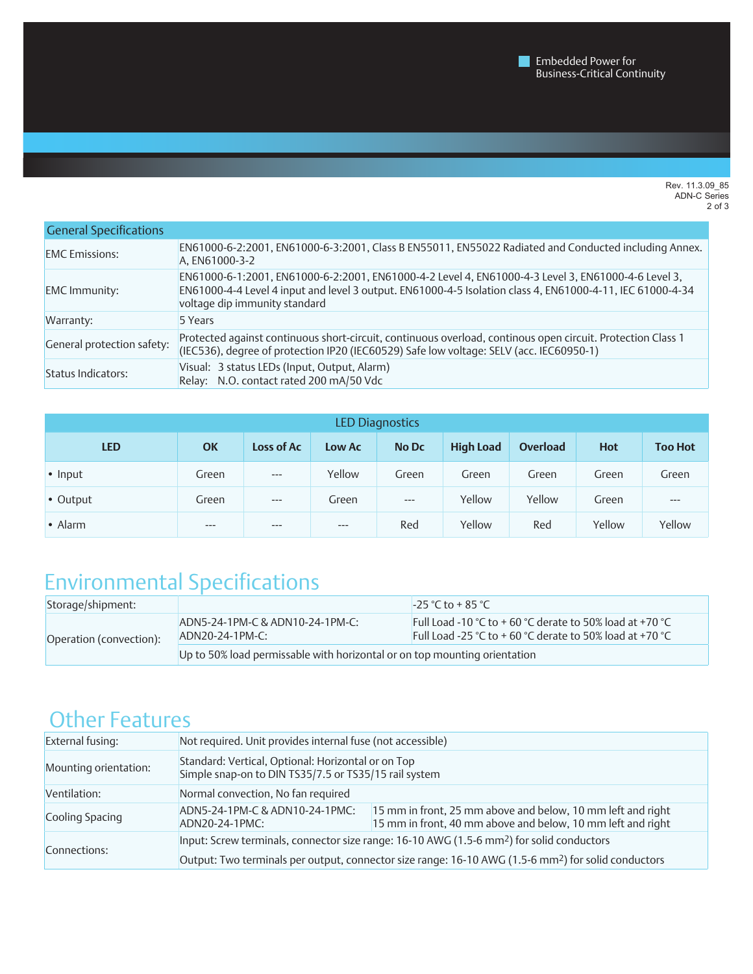Rev. 11.3.09\_85 ADN-C Series 2 of 3

| <b>General Specifications</b> |                                                                                                                                                                                                                                                  |
|-------------------------------|--------------------------------------------------------------------------------------------------------------------------------------------------------------------------------------------------------------------------------------------------|
| <b>EMC</b> Emissions:         | EN61000-6-2:2001, EN61000-6-3:2001, Class B EN55011, EN55022 Radiated and Conducted including Annex.<br>A, EN61000-3-2                                                                                                                           |
| <b>EMC</b> Immunity:          | EN61000-6-1:2001, EN61000-6-2:2001, EN61000-4-2 Level 4, EN61000-4-3 Level 3, EN61000-4-6 Level 3,<br>EN61000-4-4 Level 4 input and level 3 output. EN61000-4-5 Isolation class 4, EN61000-4-11, IEC 61000-4-34<br>voltage dip immunity standard |
| Warranty:                     | 5 Years                                                                                                                                                                                                                                          |
| General protection safety:    | Protected against continuous short-circuit, continuous overload, continous open circuit. Protection Class 1<br>(IEC536), degree of protection IP20 (IEC60529) Safe low voltage: SELV (acc. IEC60950-1)                                           |
| Status Indicators:            | Visual: 3 status LEDs (Input, Output, Alarm)<br>Relay: N.O. contact rated 200 mA/50 Vdc                                                                                                                                                          |

| LED Diagnostics |           |            |        |              |                  |          |            |                |
|-----------------|-----------|------------|--------|--------------|------------------|----------|------------|----------------|
| <b>LED</b>      | <b>OK</b> | Loss of Ac | Low Ac | <b>No Dc</b> | <b>High Load</b> | Overload | <b>Hot</b> | <b>Too Hot</b> |
| $\cdot$ Input   | Green     | $---$      | Yellow | Green        | Green            | Green    | Green      | Green          |
| • Output        | Green     | $---$      | Green  | $---$        | Yellow           | Yellow   | Green      | $---$          |
| $\bullet$ Alarm | $---$     | $---$      | $---$  | Red          | Yellow           | Red      | Yellow     | Yellow         |

### Environmental Specifications

| Storage/shipment:       |                                                                           | $-25 °C$ to + 85 °C                                                                                                  |
|-------------------------|---------------------------------------------------------------------------|----------------------------------------------------------------------------------------------------------------------|
| Operation (convection): | ADN5-24-1PM-C & ADN10-24-1PM-C:<br>$ADN20-24-1PM-C:$                      | Full Load -10 °C to + 60 °C derate to 50% load at +70 °C<br>Full Load -25 °C to + 60 °C derate to 50% load at +70 °C |
|                         | Up to 50% load permissable with horizontal or on top mounting orientation |                                                                                                                      |

### Other Features

| External fusing:      | Not required. Unit provides internal fuse (not accessible)                                                      |                                                                                                                            |  |  |
|-----------------------|-----------------------------------------------------------------------------------------------------------------|----------------------------------------------------------------------------------------------------------------------------|--|--|
| Mounting orientation: | Standard: Vertical, Optional: Horizontal or on Top<br>Simple snap-on to DIN TS35/7.5 or TS35/15 rail system     |                                                                                                                            |  |  |
| Ventilation:          | Normal convection, No fan required                                                                              |                                                                                                                            |  |  |
| Cooling Spacing       | ADN5-24-1PM-C & ADN10-24-1PMC:<br>ADN20-24-1PMC:                                                                | 15 mm in front, 25 mm above and below, 10 mm left and right<br>15 mm in front, 40 mm above and below, 10 mm left and right |  |  |
|                       | Input: Screw terminals, connector size range: 16-10 AWG (1.5-6 mm <sup>2</sup> ) for solid conductors           |                                                                                                                            |  |  |
| Connections:          | Output: Two terminals per output, connector size range: 16-10 AWG (1.5-6 mm <sup>2</sup> ) for solid conductors |                                                                                                                            |  |  |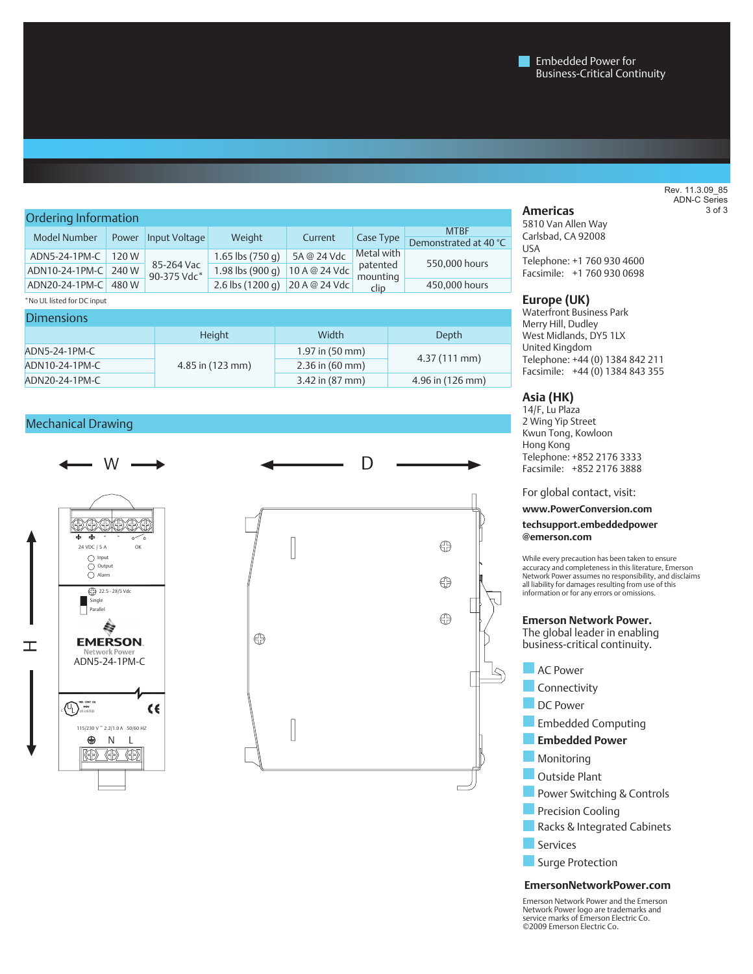#### Ordering Information 240 **Americas**  Model Number Power Input Voltage Weight Current Case Type MTBF Demonstrated at 40 °C ADN5-24-1PM-C 120 W 85-264 Vac 90-375 Vdc\* 1.65 lbs (750 g) 5A @ 24 Vdc Metal with patented mounting clip ADN10-24-1PM-C 240 W 85-264 Vac 1.98 lbs (900 g) 10 A @ 24 Vdc patented 550,000 hours ADN20-24-1PM-C 480 W  $30-373$  vac 2.6 lbs (1200 g) 20 A @ 24 Vdc  $\frac{1}{6}$  Clin 450,000 hours \*No UL listed for DC input

| <b>Dimensions</b> |                      |                           |                  |  |  |
|-------------------|----------------------|---------------------------|------------------|--|--|
|                   | <b>Height</b>        | Width                     | Depth            |  |  |
| ADN5-24-1PM-C     | $4.85$ in $(123$ mm) | 1.97 in $(50 \text{ mm})$ | $4.37(111$ mm)   |  |  |
| ADN10-24-1PM-C    |                      | $2.36$ in (60 mm)         |                  |  |  |
| ADN20-24-1PM-C    |                      | 3.42 in (87 mm)           | 4.96 in (126 mm) |  |  |

#### Mechanical Drawing



5810 Van Allen Way Carlsbad, CA 92008 USA Telephone: +1 760 930 4600 Facsimile: +1 760 930 0698

#### **Europe (UK)**

Waterfront Business Park Merry Hill, Dudley West Midlands, DY5 1LX United Kingdom Telephone: +44 (0) 1384 842 211 Facsimile: +44 (0) 1384 843 355

#### **Asia (HK)**

14/F, Lu Plaza 2 Wing Yip Street Kwun Tong, Kowloon Hong Kong Telephone: +852 2176 3333 Facsimile: +852 2176 3888

For global contact, visit:

**www.PowerConversion.com**

**techsupport.embeddedpower @emerson.com**

While every precaution has been taken to ensure accuracy and completeness in this literature, Emerson Network Power assumes no responsibility, and disclaims all liability for damages resulting from use of this information or for any errors or omissions.

#### **Emerson Network Power.**

The global leader in enabling business-critical continuity.

 $\sqrt{ }$ 



**Surge Protection** 

#### **EmersonNetworkPower.com**

Emerson Network Power and the Emerson Network Power logo are trademarks and service marks of Emerson Electric Co. ©2009 Emerson Electric Co.

#### Rev. 11.3.09\_85 ADN-C Series 3 of 3